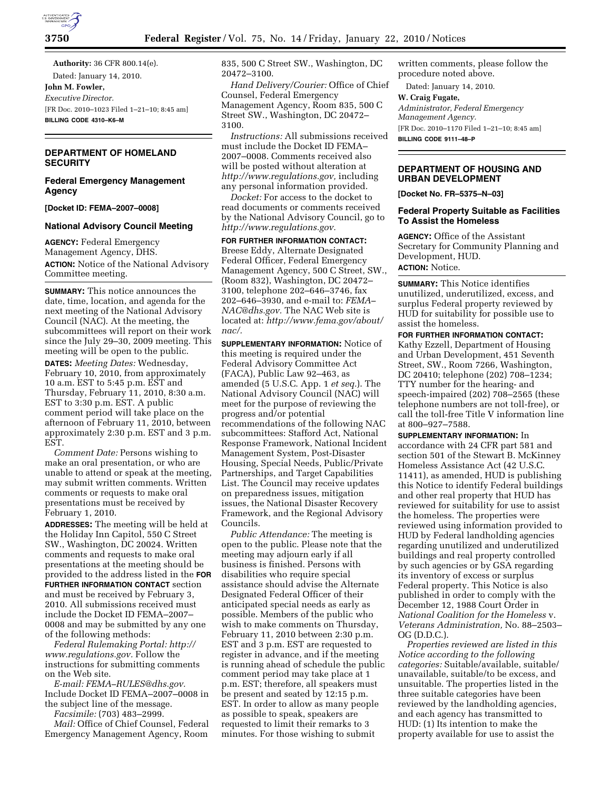**Authority:** 36 CFR 800.14(e). Dated: January 14, 2010. **John M. Fowler,**  *Executive Director.*  [FR Doc. 2010–1023 Filed 1–21–10; 8:45 am] **BILLING CODE 4310–K6–M** 

# **DEPARTMENT OF HOMELAND SECURITY**

## **Federal Emergency Management Agency**

**[Docket ID: FEMA–2007–0008]** 

## **National Advisory Council Meeting**

**AGENCY:** Federal Emergency Management Agency, DHS. **ACTION:** Notice of the National Advisory Committee meeting.

**SUMMARY:** This notice announces the date, time, location, and agenda for the next meeting of the National Advisory Council (NAC). At the meeting, the subcommittees will report on their work since the July 29–30, 2009 meeting. This meeting will be open to the public.

**DATES:** *Meeting Dates:* Wednesday, February 10, 2010, from approximately 10 a.m. EST to 5:45 p.m. EST and Thursday, February 11, 2010, 8:30 a.m. EST to 3:30 p.m. EST. A public comment period will take place on the afternoon of February 11, 2010, between approximately 2:30 p.m. EST and 3 p.m. EST.

*Comment Date:* Persons wishing to make an oral presentation, or who are unable to attend or speak at the meeting, may submit written comments. Written comments or requests to make oral presentations must be received by February 1, 2010.

**ADDRESSES:** The meeting will be held at the Holiday Inn Capitol, 550 C Street SW., Washington, DC 20024. Written comments and requests to make oral presentations at the meeting should be provided to the address listed in the **FOR FURTHER INFORMATION CONTACT** section and must be received by February 3, 2010. All submissions received must include the Docket ID FEMA–2007– 0008 and may be submitted by any one of the following methods:

*Federal Rulemaking Portal: http:// www.regulations.gov.* Follow the instructions for submitting comments on the Web site.

*E-mail: FEMA–RULES@dhs.gov.*  Include Docket ID FEMA–2007–0008 in the subject line of the message.

*Facsimile:* (703) 483–2999.

*Mail:* Office of Chief Counsel, Federal Emergency Management Agency, Room

835, 500 C Street SW., Washington, DC 20472–3100.

*Hand Delivery/Courier:* Office of Chief Counsel, Federal Emergency Management Agency, Room 835, 500 C Street SW., Washington, DC 20472– 3100.

*Instructions:* All submissions received must include the Docket ID FEMA– 2007–0008. Comments received also will be posted without alteration at *http://www.regulations.gov,* including any personal information provided.

*Docket:* For access to the docket to read documents or comments received by the National Advisory Council, go to *http://www.regulations.gov.* 

**FOR FURTHER INFORMATION CONTACT:**  Breese Eddy, Alternate Designated Federal Officer, Federal Emergency Management Agency, 500 C Street, SW., (Room 832), Washington, DC 20472– 3100, telephone 202–646–3746, fax 202–646–3930, and e-mail to: *FEMA– NAC@dhs.gov.* The NAC Web site is located at: *http://www.fema.gov/about/ nac/.* 

**SUPPLEMENTARY INFORMATION:** Notice of this meeting is required under the Federal Advisory Committee Act (FACA), Public Law 92–463, as amended (5 U.S.C. App. 1 *et seq.*). The National Advisory Council (NAC) will meet for the purpose of reviewing the progress and/or potential recommendations of the following NAC subcommittees: Stafford Act, National Response Framework, National Incident Management System, Post-Disaster Housing, Special Needs, Public/Private Partnerships, and Target Capabilities List. The Council may receive updates on preparedness issues, mitigation issues, the National Disaster Recovery Framework, and the Regional Advisory Councils.

*Public Attendance:* The meeting is open to the public. Please note that the meeting may adjourn early if all business is finished. Persons with disabilities who require special assistance should advise the Alternate Designated Federal Officer of their anticipated special needs as early as possible. Members of the public who wish to make comments on Thursday, February 11, 2010 between 2:30 p.m. EST and 3 p.m. EST are requested to register in advance, and if the meeting is running ahead of schedule the public comment period may take place at 1 p.m. EST; therefore, all speakers must be present and seated by 12:15 p.m. EST. In order to allow as many people as possible to speak, speakers are requested to limit their remarks to 3 minutes. For those wishing to submit

written comments, please follow the procedure noted above.

Dated: January 14, 2010.

**W. Craig Fugate,** 

*Administrator, Federal Emergency Management Agency.*  [FR Doc. 2010–1170 Filed 1–21–10; 8:45 am] **BILLING CODE 9111–48–P** 

## **DEPARTMENT OF HOUSING AND URBAN DEVELOPMENT**

**[Docket No. FR–5375–N–03]** 

## **Federal Property Suitable as Facilities To Assist the Homeless**

**AGENCY:** Office of the Assistant Secretary for Community Planning and Development, HUD. **ACTION:** Notice.

**SUMMARY:** This Notice identifies unutilized, underutilized, excess, and surplus Federal property reviewed by HUD for suitability for possible use to assist the homeless.

**FOR FURTHER INFORMATION CONTACT:**  Kathy Ezzell, Department of Housing and Urban Development, 451 Seventh Street, SW., Room 7266, Washington, DC 20410; telephone (202) 708–1234; TTY number for the hearing- and speech-impaired (202) 708–2565 (these telephone numbers are not toll-free), or call the toll-free Title V information line at 800–927–7588.

### **SUPPLEMENTARY INFORMATION:** In

accordance with 24 CFR part 581 and section 501 of the Stewart B. McKinney Homeless Assistance Act (42 U.S.C. 11411), as amended, HUD is publishing this Notice to identify Federal buildings and other real property that HUD has reviewed for suitability for use to assist the homeless. The properties were reviewed using information provided to HUD by Federal landholding agencies regarding unutilized and underutilized buildings and real property controlled by such agencies or by GSA regarding its inventory of excess or surplus Federal property. This Notice is also published in order to comply with the December 12, 1988 Court Order in *National Coalition for the Homeless* v. *Veterans Administration,* No. 88–2503– OG (D.D.C.).

*Properties reviewed are listed in this Notice according to the following categories:* Suitable/available, suitable/ unavailable, suitable/to be excess, and unsuitable. The properties listed in the three suitable categories have been reviewed by the landholding agencies, and each agency has transmitted to HUD: (1) Its intention to make the property available for use to assist the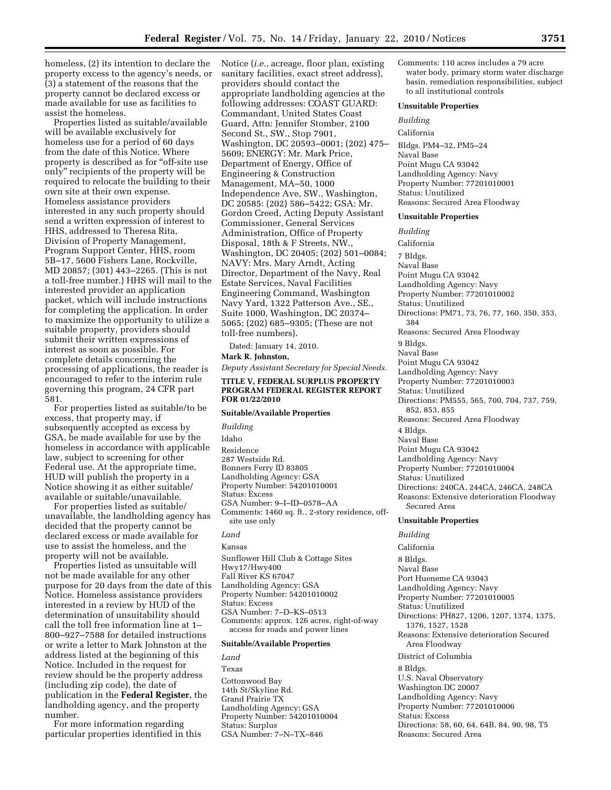homeless, (2) its intention to declare the property excess to the agency's needs, or (3) a statement of the reasons that the property cannot be declared excess or made available for use as facilities to assist the homeless.

Properties listed as suitable/available will be available exclusively for homeless use for a period of 60 days from the date of this Notice. Where property is described as for ''off-site use only'' recipients of the property will be required to relocate the building to their own site at their own expense. Homeless assistance providers interested in any such property should send a written expression of interest to HHS, addressed to Theresa Rita, Division of Property Management, Program Support Center, HHS, room 5B–17, 5600 Fishers Lane, Rockville, MD 20857; (301) 443–2265. (This is not a toll-free number.) HHS will mail to the interested provider an application packet, which will include instructions for completing the application. In order to maximize the opportunity to utilize a suitable property, providers should submit their written expressions of interest as soon as possible. For complete details concerning the processing of applications, the reader is encouraged to refer to the interim rule governing this program, 24 CFR part 581.

For properties listed as suitable/to be excess, that property may, if subsequently accepted as excess by GSA, be made available for use by the homeless in accordance with applicable law, subject to screening for other Federal use. At the appropriate time, HUD will publish the property in a Notice showing it as either suitable/ available or suitable/unavailable.

For properties listed as suitable/ unavailable, the landholding agency has decided that the property cannot be declared excess or made available for use to assist the homeless, and the property will not be available.

Properties listed as unsuitable will not be made available for any other purpose for 20 days from the date of this Notice. Homeless assistance providers interested in a review by HUD of the determination of unsuitability should call the toll free information line at 1– 800–927–7588 for detailed instructions or write a letter to Mark Johnston at the address listed at the beginning of this Notice. Included in the request for review should be the property address (including zip code), the date of publication in the **Federal Register**, the landholding agency, and the property number.

For more information regarding particular properties identified in this Notice (*i.e.,* acreage, floor plan, existing sanitary facilities, exact street address), providers should contact the appropriate landholding agencies at the following addresses: COAST GUARD: Commandant, United States Coast Guard, Attn: Jennifer Stomber, 2100 Second St., SW., Stop 7901, Washington, DC 20593–0001; (202) 475– 5609; ENERGY: Mr. Mark Price, Department of Energy, Office of Engineering & Construction Management, MA–50, 1000 Independence Ave, SW., Washington, DC 20585: (202) 586–5422; GSA: Mr. Gordon Creed, Acting Deputy Assistant Commissioner, General Services Administration, Office of Property Disposal, 18th & F Streets, NW., Washington, DC 20405; (202) 501–0084; NAVY: Mrs. Mary Arndt, Acting Director, Department of the Navy, Real Estate Services, Naval Facilities Engineering Command, Washington Navy Yard, 1322 Patterson Ave., SE., Suite 1000, Washington, DC 20374– 5065; (202) 685–9305; (These are not toll-free numbers).

Dated: January 14, 2010.

**Mark R. Johnston,** 

*Deputy Assistant Secretary for Special Needs.* 

#### **TITLE V, FEDERAL SURPLUS PROPERTY PROGRAM FEDERAL REGISTER REPORT FOR 01/22/2010**

## **Suitable/Available Properties**

*Building*  Idaho Residence 287 Westside Rd. Bonners Ferry ID 83805 Landholding Agency: GSA Property Number: 54201010001 Status: Excess GSA Number: 9–I–ID–0578–AA Comments: 1460 sq. ft., 2-story residence, offsite use only

## *Land*  Kansas

Sunflower Hill Club & Cottage Sites Hwy17/Hwy400 Fall River KS 67047 Landholding Agency: GSA Property Number: 54201010002 Status: Excess GSA Number: 7–D–KS–0513 Comments: approx. 126 acres, right-of-way access for roads and power lines

#### **Suitable/Available Properties**

*Land*  Texas Cottonwood Bay 14th St/Skyline Rd. Grand Prairie TX Landholding Agency: GSA Property Number: 54201010004 Status: Surplus GSA Number: 7–N–TX–846

Comments: 110 acres includes a 79 acre water body, primary storm water discharge basin. remediation responsibilities, subject to all institutional controls

#### **Unsuitable Properties**

*Building* 

California Bldgs. PM4–32, PM5–24 Naval Base Point Mugu CA 93042 Landholding Agency: Navy Property Number: 77201010001 Status: Unutilized Reasons: Secured Area Floodway

### **Unsuitable Properties**

*Building*  California 7 Bldgs. Naval Base Point Mugu CA 93042 Landholding Agency: Navy Property Number: 77201010002 Status: Unutilized Directions: PM71, 73, 76, 77, 160, 350, 353, 384 Reasons: Secured Area Floodway 9 Bldgs. Naval Base Point Mugu CA 93042 Landholding Agency: Navy Property Number: 77201010003 Status: Unutilized Directions: PM555, 565, 700, 704, 737, 759, 852, 853, 855 Reasons: Secured Area Floodway 4 Bldgs. Naval Base Point Mugu CA 93042 Landholding Agency: Navy Property Number: 77201010004 Status: Unutilized Directions: 240CA, 244CA, 246CA, 248CA Reasons: Extensive deterioration Floodway Secured Area **Unsuitable Properties**  *Building*  California 8 Bldgs. Naval Base Port Hueneme CA 93043 Landholding Agency: Navy Property Number: 77201010005 Status: Unutilized Directions: PH827, 1206, 1207, 1374, 1375, 1376, 1527, 1528 Reasons: Extensive deterioration Secured Area Floodway

District of Columbia

8 Bldgs.

U.S. Naval Observatory Washington DC 20007 Landholding Agency: Navy Property Number: 77201010006 Status: Excess Directions: 58, 60, 64, 64B, 84, 90, 98, T5 Reasons: Secured Area